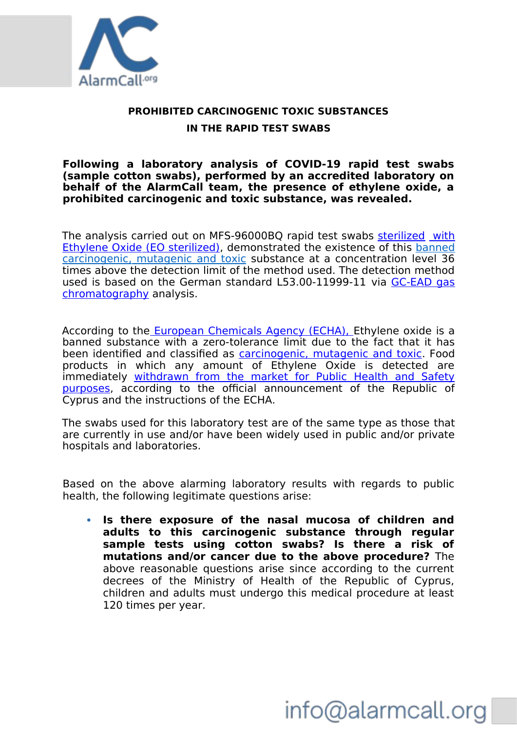

### **PROHIBITED CARCINOGENIC TOXIC SUBSTANCES IN THE RAPID TEST SWABS**

#### **Following a laboratory analysis of COVID-19 rapid test swabs (sample cotton swabs), performed by an accredited laboratory on behalf of the AlarmCall team, the presence of ethylene oxide, a prohibited carcinogenic and toxic substance, was revealed.**

The analysis carried out on MFS-96000BQ rapid test swabs sterilized with Ethylene Oxide (EO sterilized), demonstrated the existence of this banned carcinogenic, mutagenic and toxic substance at a concentration level 36 times above the detection limit of the method used. The detection method used is based on the German standard L53.00-11999-11 via GC-EAD gas chromatography analysis.

According to the European Chemicals Agency (ECHA), Ethylene oxide is a banned substance with a zero-tolerance limit due to the fact that it has been identified and classified as **carcinogenic**, mutagenic and toxic. Food products in which any amount of Ethylene Oxide is detected are immediately withdrawn from the market for Public Health and Safety purposes, according to the official announcement of the Republic of Cyprus and the instructions of the ECHA.

The swabs used for this laboratory test are of the same type as those that are currently in use and/or have been widely used in public and/or private hospitals and laboratories.

Based on the above alarming laboratory results with regards to public health, the following legitimate questions arise:

 **Is there exposure of the nasal mucosa of children and adults to this carcinogenic substance through regular sample tests using cotton swabs? Is there a risk of mutations and/or cancer due to the above procedure?** The above reasonable questions arise since according to the current decrees of the Ministry of Health of the Republic of Cyprus, children and adults must undergo this medical procedure at least 120 times per year.

# info@alarmcall.org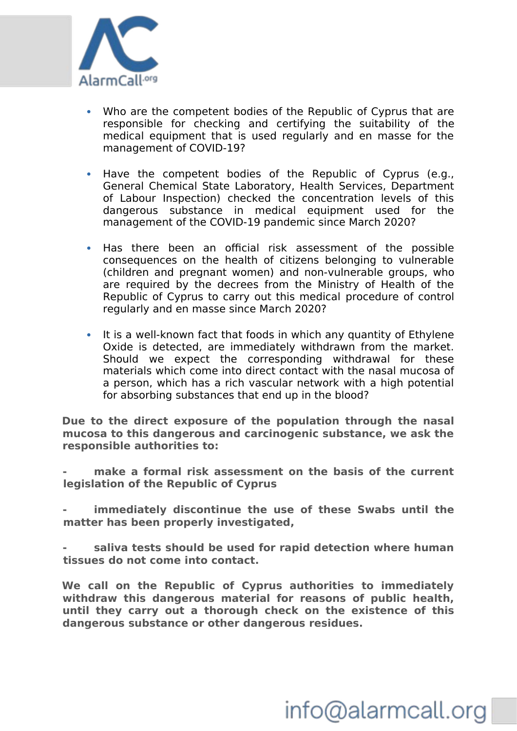

- Who are the competent bodies of the Republic of Cyprus that are responsible for checking and certifying the suitability of the medical equipment that is used regularly and en masse for the management of COVID-19?
- Have the competent bodies of the Republic of Cyprus (e.g., General Chemical State Laboratory, Health Services, Department of Labour Inspection) checked the concentration levels of this dangerous substance in medical equipment used for the management of the COVID-19 pandemic since March 2020?
- Has there been an official risk assessment of the possible consequences on the health of citizens belonging to vulnerable (children and pregnant women) and non-vulnerable groups, who are required by the decrees from the Ministry of Health of the Republic of Cyprus to carry out this medical procedure of control regularly and en masse since March 2020?
- It is a well-known fact that foods in which any quantity of Ethylene Oxide is detected, are immediately withdrawn from the market. Should we expect the corresponding withdrawal for these materials which come into direct contact with the nasal mucosa of a person, which has a rich vascular network with a high potential for absorbing substances that end up in the blood?

**Due to the direct exposure of the population through the nasal mucosa to this dangerous and carcinogenic substance, we ask the responsible authorities to:**

**- make a formal risk assessment on the basis of the current legislation of the Republic of Cyprus**

**- immediately discontinue the use of these Swabs until the matter has been properly investigated,**

**- saliva tests should be used for rapid detection where human tissues do not come into contact.** 

**We call on the Republic of Cyprus authorities to immediately withdraw this dangerous material for reasons of public health, until they carry out a thorough check on the existence of this dangerous substance or other dangerous residues.**

# info@alarmcall.org